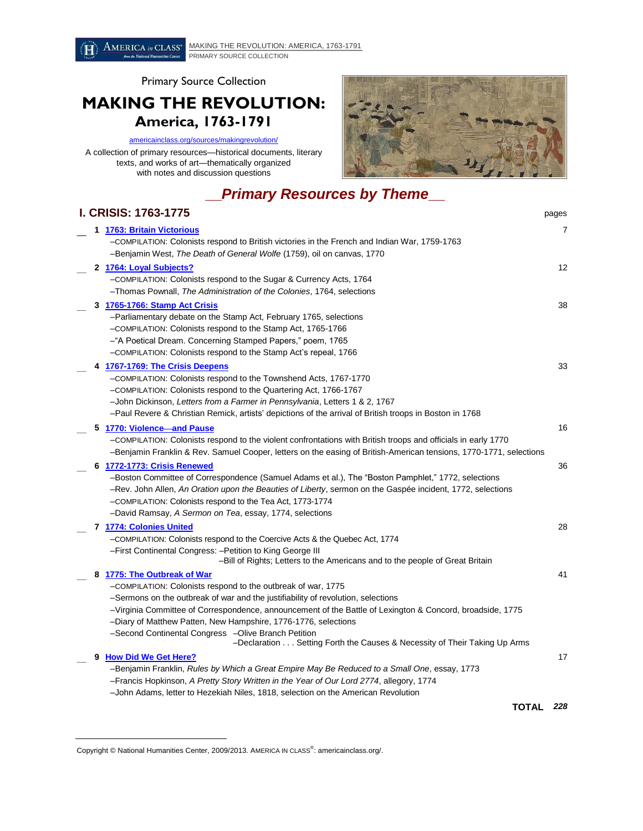

Primary Source Collection

## **MAKING THE REVOLUTION: America, 1763-1791**

## [americainclass.org/sources/makingrevolution/](http://americainclass.org/sources/makingrevolution/)

A collection of primary resources—historical documents, literary texts, and works of art—thematically organized with notes and discussion questions



## **\_\_***Primary Resources by Theme***\_\_**

|   | <b>I. CRISIS: 1763-1775</b>                                                                                                      | pages |
|---|----------------------------------------------------------------------------------------------------------------------------------|-------|
|   | 1 1763: Britain Victorious                                                                                                       | 7     |
|   | COMPILATION: Colonists respond to British victories in the French and Indian War, 1759-1763                                      |       |
|   | -Benjamin West, The Death of General Wolfe (1759), oil on canvas, 1770                                                           |       |
|   | 2 1764: Loyal Subjects?                                                                                                          | 12    |
|   | -COMPILATION: Colonists respond to the Sugar & Currency Acts, 1764                                                               |       |
|   | -Thomas Pownall, The Administration of the Colonies, 1764, selections                                                            |       |
|   | 3 1765-1766: Stamp Act Crisis                                                                                                    | 38    |
|   | -Parliamentary debate on the Stamp Act, February 1765, selections                                                                |       |
|   | -COMPILATION: Colonists respond to the Stamp Act, 1765-1766                                                                      |       |
|   | -"A Poetical Dream. Concerning Stamped Papers," poem, 1765                                                                       |       |
|   | -COMPILATION: Colonists respond to the Stamp Act's repeal, 1766                                                                  |       |
|   | 4 1767-1769: The Crisis Deepens                                                                                                  | 33    |
|   | -COMPILATION: Colonists respond to the Townshend Acts, 1767-1770                                                                 |       |
|   | -COMPILATION: Colonists respond to the Quartering Act, 1766-1767                                                                 |       |
|   | -John Dickinson, Letters from a Farmer in Pennsylvania, Letters 1 & 2, 1767                                                      |       |
|   | -Paul Revere & Christian Remick, artists' depictions of the arrival of British troops in Boston in 1768                          |       |
|   | 5 1770: Violence and Pause                                                                                                       | 16    |
|   | -COMPILATION: Colonists respond to the violent confrontations with British troops and officials in early 1770                    |       |
|   | -Benjamin Franklin & Rev. Samuel Cooper, letters on the easing of British-American tensions, 1770-1771, selections               |       |
|   | 6 1772-1773: Crisis Renewed                                                                                                      | 36    |
|   | -Boston Committee of Correspondence (Samuel Adams et al.), The "Boston Pamphlet," 1772, selections                               |       |
|   | -Rev. John Allen, An Oration upon the Beauties of Liberty, sermon on the Gaspée incident, 1772, selections                       |       |
|   | -COMPILATION: Colonists respond to the Tea Act, 1773-1774                                                                        |       |
|   | -David Ramsay, A Sermon on Tea, essay, 1774, selections                                                                          |       |
|   | 7 1774: Colonies United                                                                                                          | 28    |
|   | -COMPILATION: Colonists respond to the Coercive Acts & the Quebec Act, 1774                                                      |       |
|   | -First Continental Congress: -Petition to King George III                                                                        |       |
|   | -Bill of Rights; Letters to the Americans and to the people of Great Britain                                                     |       |
| 8 | 1775: The Outbreak of War                                                                                                        | 41    |
|   | -COMPILATION: Colonists respond to the outbreak of war, 1775                                                                     |       |
|   | -Sermons on the outbreak of war and the justifiability of revolution, selections                                                 |       |
|   | -Virginia Committee of Correspondence, announcement of the Battle of Lexington & Concord, broadside, 1775                        |       |
|   | -Diary of Matthew Patten, New Hampshire, 1776-1776, selections                                                                   |       |
|   | -Second Continental Congress -Olive Branch Petition<br>-Declaration Setting Forth the Causes & Necessity of Their Taking Up Arms |       |
| 9 | <b>How Did We Get Here?</b>                                                                                                      | 17    |
|   | -Benjamin Franklin, Rules by Which a Great Empire May Be Reduced to a Small One, essay, 1773                                     |       |
|   | -Francis Hopkinson, A Pretty Story Written in the Year of Our Lord 2774, allegory, 1774                                          |       |
|   | -John Adams, letter to Hezekiah Niles, 1818, selection on the American Revolution                                                |       |
|   | TOTAL                                                                                                                            | 228   |
|   |                                                                                                                                  |       |

 $\overline{a}$ 

Copyright © National Humanities Center, 2009/2013. AMERICA IN CLASS<sup>®</sup>: americainclass.org/.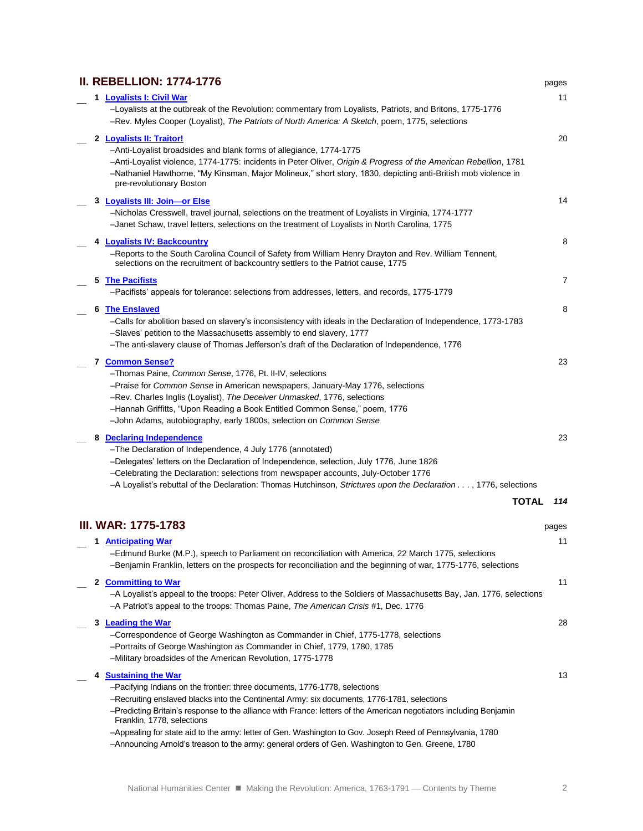|  | <b>II. REBELLION: 1774-1776</b>                                                                                                                                                                                                                               | pages |
|--|---------------------------------------------------------------------------------------------------------------------------------------------------------------------------------------------------------------------------------------------------------------|-------|
|  | 1 Loyalists I: Civil War                                                                                                                                                                                                                                      | 11    |
|  | -Loyalists at the outbreak of the Revolution: commentary from Loyalists, Patriots, and Britons, 1775-1776<br>-Rev. Myles Cooper (Loyalist), The Patriots of North America: A Sketch, poem, 1775, selections                                                   |       |
|  | 2 Loyalists II: Traitor!                                                                                                                                                                                                                                      | 20    |
|  | -Anti-Loyalist broadsides and blank forms of allegiance, 1774-1775                                                                                                                                                                                            |       |
|  | -Anti-Loyalist violence, 1774-1775: incidents in Peter Oliver, Origin & Progress of the American Rebellion, 1781<br>-Nathaniel Hawthorne, "My Kinsman, Major Molineux," short story, 1830, depicting anti-British mob violence in<br>pre-revolutionary Boston |       |
|  | 3 Loyalists III: Join-or Else                                                                                                                                                                                                                                 | 14    |
|  | -Nicholas Cresswell, travel journal, selections on the treatment of Loyalists in Virginia, 1774-1777<br>-Janet Schaw, travel letters, selections on the treatment of Loyalists in North Carolina, 1775                                                        |       |
|  | 4 Loyalists IV: Backcountry                                                                                                                                                                                                                                   | 8     |
|  | -Reports to the South Carolina Council of Safety from William Henry Drayton and Rev. William Tennent,<br>selections on the recruitment of backcountry settlers to the Patriot cause, 1775                                                                     |       |
|  | <b>5 The Pacifists</b>                                                                                                                                                                                                                                        | 7     |
|  | -Pacifists' appeals for tolerance: selections from addresses, letters, and records, 1775-1779                                                                                                                                                                 |       |
|  | 6 The Enslaved                                                                                                                                                                                                                                                | 8     |
|  | -Calls for abolition based on slavery's inconsistency with ideals in the Declaration of Independence, 1773-1783                                                                                                                                               |       |
|  | -Slaves' petition to the Massachusetts assembly to end slavery, 1777                                                                                                                                                                                          |       |
|  | -The anti-slavery clause of Thomas Jefferson's draft of the Declaration of Independence, 1776                                                                                                                                                                 |       |
|  | 7 Common Sense?                                                                                                                                                                                                                                               | 23    |
|  | -Thomas Paine, Common Sense, 1776, Pt. II-IV, selections                                                                                                                                                                                                      |       |
|  | -Praise for Common Sense in American newspapers, January-May 1776, selections                                                                                                                                                                                 |       |
|  | -Rev. Charles Inglis (Loyalist), The Deceiver Unmasked, 1776, selections                                                                                                                                                                                      |       |
|  | -Hannah Griffitts, "Upon Reading a Book Entitled Common Sense," poem, 1776                                                                                                                                                                                    |       |
|  | -John Adams, autobiography, early 1800s, selection on Common Sense                                                                                                                                                                                            |       |
|  | 8 Declaring Independence                                                                                                                                                                                                                                      | 23    |
|  | -The Declaration of Independence, 4 July 1776 (annotated)                                                                                                                                                                                                     |       |
|  | -Delegates' letters on the Declaration of Independence, selection, July 1776, June 1826                                                                                                                                                                       |       |
|  | -Celebrating the Declaration: selections from newspaper accounts, July-October 1776                                                                                                                                                                           |       |
|  | -A Loyalist's rebuttal of the Declaration: Thomas Hutchinson, Strictures upon the Declaration , 1776, selections                                                                                                                                              |       |
|  | <b>TOTAL</b>                                                                                                                                                                                                                                                  | 114   |
|  | III. WAR: 1775-1783                                                                                                                                                                                                                                           | pages |
|  |                                                                                                                                                                                                                                                               |       |
|  | 1 Anticipating War<br>-Edmund Burke (M.P.), speech to Parliament on reconciliation with America, 22 March 1775, selections                                                                                                                                    | 11    |
|  | -Benjamin Franklin, letters on the prospects for reconciliation and the beginning of war, 1775-1776, selections                                                                                                                                               |       |
|  | 2 Committing to War                                                                                                                                                                                                                                           | 11    |
|  | -A Loyalist's appeal to the troops: Peter Oliver, Address to the Soldiers of Massachusetts Bay, Jan. 1776, selections<br>-A Patriot's appeal to the troops: Thomas Paine, The American Crisis #1, Dec. 1776                                                   |       |
|  | 3 Leading the War                                                                                                                                                                                                                                             | 28    |
|  | -Correspondence of George Washington as Commander in Chief, 1775-1778, selections                                                                                                                                                                             |       |
|  | -Portraits of George Washington as Commander in Chief, 1779, 1780, 1785                                                                                                                                                                                       |       |
|  | -Military broadsides of the American Revolution, 1775-1778                                                                                                                                                                                                    |       |
|  | 4 Sustaining the War                                                                                                                                                                                                                                          | 13    |
|  | -Pacifying Indians on the frontier: three documents, 1776-1778, selections                                                                                                                                                                                    |       |
|  | -Recruiting enslaved blacks into the Continental Army: six documents, 1776-1781, selections                                                                                                                                                                   |       |
|  | -Predicting Britain's response to the alliance with France: letters of the American negotiators including Benjamin<br>Franklin, 1778, selections                                                                                                              |       |
|  | -Appealing for state aid to the army: letter of Gen. Washington to Gov. Joseph Reed of Pennsylvania, 1780                                                                                                                                                     |       |
|  | -Announcing Arnold's treason to the army: general orders of Gen. Washington to Gen. Greene, 1780                                                                                                                                                              |       |
|  |                                                                                                                                                                                                                                                               |       |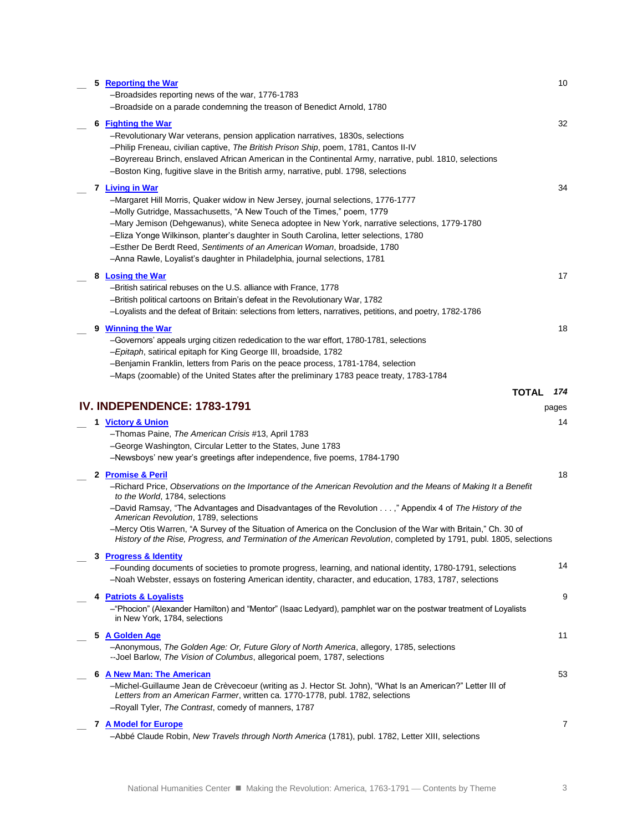|  | 5 Reporting the War<br>-Broadsides reporting news of the war, 1776-1783<br>-Broadside on a parade condemning the treason of Benedict Arnold, 1780                                                                                                                                                                                                                                                                                                                                                                                                                   | 10           |
|--|---------------------------------------------------------------------------------------------------------------------------------------------------------------------------------------------------------------------------------------------------------------------------------------------------------------------------------------------------------------------------------------------------------------------------------------------------------------------------------------------------------------------------------------------------------------------|--------------|
|  | 6 Fighting the War<br>-Revolutionary War veterans, pension application narratives, 1830s, selections<br>-Philip Freneau, civilian captive, The British Prison Ship, poem, 1781, Cantos II-IV<br>-Boyrereau Brinch, enslaved African American in the Continental Army, narrative, publ. 1810, selections<br>-Boston King, fugitive slave in the British army, narrative, publ. 1798, selections                                                                                                                                                                      | 32           |
|  | 7 <u>Living in War</u><br>-Margaret Hill Morris, Quaker widow in New Jersey, journal selections, 1776-1777<br>-Molly Gutridge, Massachusetts, "A New Touch of the Times," poem, 1779<br>-Mary Jemison (Dehgewanus), white Seneca adoptee in New York, narrative selections, 1779-1780<br>-Eliza Yonge Wilkinson, planter's daughter in South Carolina, letter selections, 1780<br>-Esther De Berdt Reed, Sentiments of an American Woman, broadside, 1780<br>-Anna Rawle, Loyalist's daughter in Philadelphia, journal selections, 1781                             | 34           |
|  | 8 Losing the War<br>-British satirical rebuses on the U.S. alliance with France, 1778<br>-British political cartoons on Britain's defeat in the Revolutionary War, 1782<br>-Loyalists and the defeat of Britain: selections from letters, narratives, petitions, and poetry, 1782-1786                                                                                                                                                                                                                                                                              | 17           |
|  | 9 Winning the War<br>-Governors' appeals urging citizen rededication to the war effort, 1780-1781, selections<br>-Epitaph, satirical epitaph for King George III, broadside, 1782<br>-Benjamin Franklin, letters from Paris on the peace process, 1781-1784, selection<br>-Maps (zoomable) of the United States after the preliminary 1783 peace treaty, 1783-1784                                                                                                                                                                                                  | 18           |
|  | <b>TOTAL</b><br>IV. INDEPENDENCE: 1783-1791                                                                                                                                                                                                                                                                                                                                                                                                                                                                                                                         | 174<br>pages |
|  | 1 Victory & Union<br>-Thomas Paine, The American Crisis #13, April 1783<br>-George Washington, Circular Letter to the States, June 1783<br>-Newsboys' new year's greetings after independence, five poems, 1784-1790                                                                                                                                                                                                                                                                                                                                                | 14           |
|  | 2 Promise & Peril<br>-Richard Price, Observations on the Importance of the American Revolution and the Means of Making It a Benefit<br>to the World, 1784, selections<br>-David Ramsay, "The Advantages and Disadvantages of the Revolution ," Appendix 4 of The History of the<br>American Revolution, 1789, selections<br>-Mercy Otis Warren, "A Survey of the Situation of America on the Conclusion of the War with Britain," Ch. 30 of<br>History of the Rise, Progress, and Termination of the American Revolution, completed by 1791, publ. 1805, selections | 18           |
|  | 3 Progress & Identity<br>-Founding documents of societies to promote progress, learning, and national identity, 1780-1791, selections<br>-Noah Webster, essays on fostering American identity, character, and education, 1783, 1787, selections                                                                                                                                                                                                                                                                                                                     | 14           |
|  | 4 Patriots & Loyalists<br>-"Phocion" (Alexander Hamilton) and "Mentor" (Isaac Ledyard), pamphlet war on the postwar treatment of Loyalists<br>in New York, 1784, selections                                                                                                                                                                                                                                                                                                                                                                                         | 9            |
|  | 5 A Golden Age<br>-Anonymous, The Golden Age: Or, Future Glory of North America, allegory, 1785, selections<br>--Joel Barlow, The Vision of Columbus, allegorical poem, 1787, selections                                                                                                                                                                                                                                                                                                                                                                            | 11           |
|  | 6 A New Man: The American<br>-Michel-Guillaume Jean de Crèvecoeur (writing as J. Hector St. John), "What Is an American?" Letter III of<br>Letters from an American Farmer, written ca. 1770-1778, publ. 1782, selections<br>-Royall Tyler, The Contrast, comedy of manners, 1787                                                                                                                                                                                                                                                                                   | 53           |
|  | 7 A Model for Europe<br>-Abbé Claude Robin, New Travels through North America (1781), publ. 1782, Letter XIII, selections                                                                                                                                                                                                                                                                                                                                                                                                                                           | 7            |